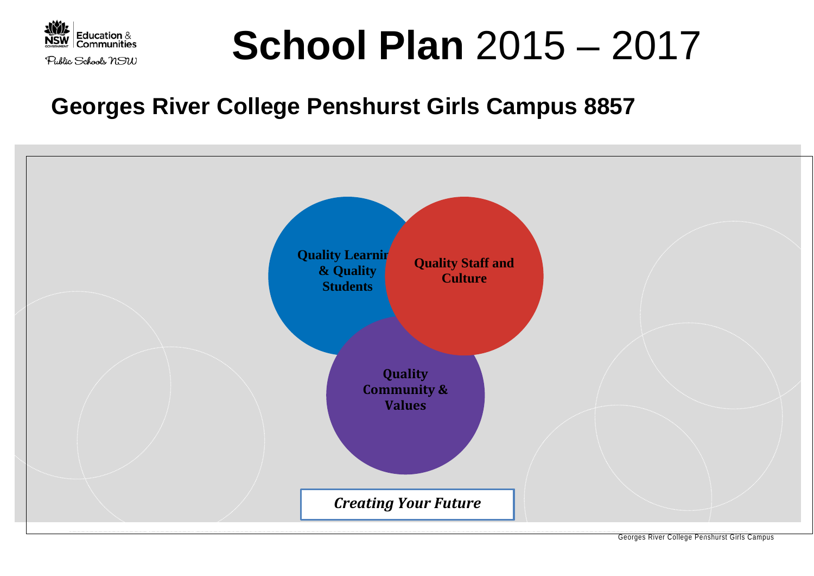

# **School Plan** 2015 – 2017

## **Georges River College Penshurst Girls Campus 8857**

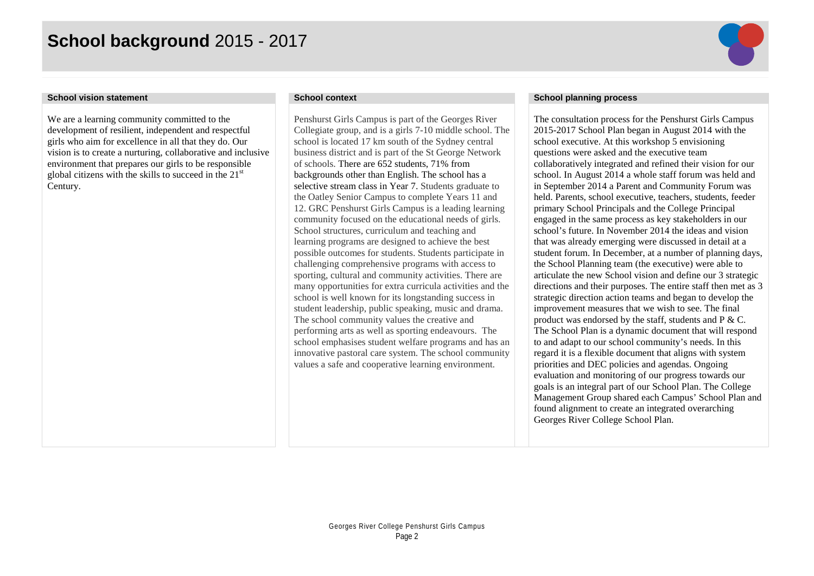## **School background** 2015 - 2017



We are a learning community committed to the development of resilient, independent and respectful girls who aim for excellence in all that they do. Our vision is to create a nurturing, collaborative and inclusive environment that prepares our girls to be responsible global citizens with the skills to succeed in the 21st Century.

Penshurst Girls Campus is part of the Georges River Collegiate group, and is a girls 7-10 middle school. The school is located 17 km south of the Sydney central business district and is part of the St George Network of schools. There are 652 students, 71% from backgrounds other than English. The school has a selective stream class in Year 7. Students graduate to the Oatley Senior Campus to complete Years 11 and 12. GRC Penshurst Girls Campus is a leading learning community focused on the educational needs of girls. School structures, curriculum and teaching and learning programs are designed to achieve the best possible outcomes for students. Students participate in challenging comprehensive programs with access to sporting, cultural and community activities. There are many opportunities for extra curricula activities and the school is well known for its longstanding success in student leadership, public speaking, music and drama. The school community values the creative and performing arts as well as sporting endeavours. The school emphasises student welfare programs and has an innovative pastoral care system. The school community values a safe and cooperative learning environment.

### **School vision statement School context School planning process**

The consultation process for the Penshurst Girls Campus 2015-2017 School Plan began in August 2014 with the school executive. At this workshop 5 envisioning questions were asked and the executive team collaboratively integrated and refined their vision for our school. In August 2014 a whole staff forum was held and in September 2014 a Parent and Community Forum was held. Parents, school executive, teachers, students, feeder primary School Principals and the College Principal engaged in the same process as key stakeholders in our school's future. In November 2014 the ideas and vision that was already emerging were discussed in detail at a student forum. In December, at a number of planning days, the School Planning team (the executive) were able to articulate the new School vision and define our 3 strategic directions and their purposes. The entire staff then met as 3 strategic direction action teams and began to develop the improvement measures that we wish to see. The final product was endorsed by the staff, students and P & C. The School Plan is a dynamic document that will respond to and adapt to our school community's needs. In this regard it is a flexible document that aligns with system priorities and DEC policies and agendas. Ongoing evaluation and monitoring of our progress towards our goals is an integral part of our School Plan. The College Management Group shared each Campus' School Plan and found alignment to create an integrated overarching Georges River College School Plan.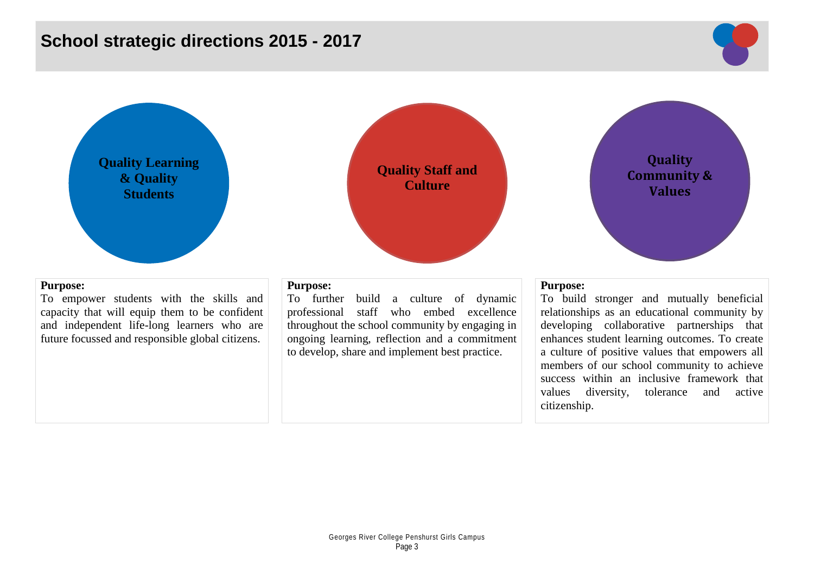## **School strategic directions 2015 - 2017**



**Quality Learning & Quality Students**

### **Purpose:**

To empower students with the skills and capacity that will equip them to be confident and independent life-long learners who are future focussed and responsible global citizens.



To further build a culture of dynamic professional staff who embed excellence throughout the school community by engaging in ongoing learning, reflection and a commitment to develop, share and implement best practice.

**Quality Staff and Culture**

### **Purpose:**

To build stronger and mutually beneficial relationships as an educational community by developing collaborative partnerships that enhances student learning outcomes. To create a culture of positive values that empowers all members of our school community to achieve success within an inclusive framework that values diversity, tolerance and active citizenship.

**Quality Community & Values**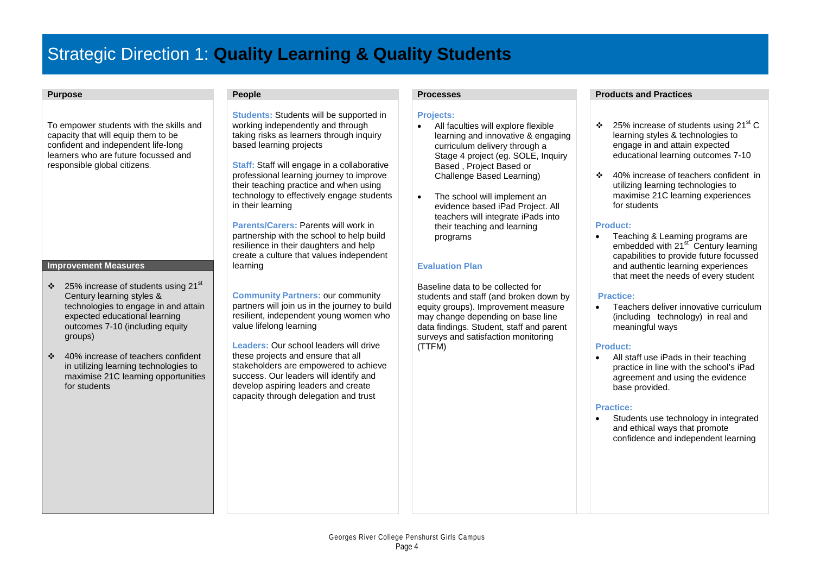## Strategic Direction 1: **Quality Learning & Quality Students**

To empower students with the skills and capacity that will equip them to be confident and independent life-long learners who are future focussed and responsible global citizens.

### **Improvement Measures**

- $\cdot$  25% increase of students using 21<sup>st</sup> Century learning styles & technologies to engage in and attain expected educational learning outcomes 7-10 (including equity groups)
- ❖ 40% increase of teachers confident in utilizing learning technologies to maximise 21C learning opportunities for students

**Students:** Students will be supported in working independently and through taking risks as learners through inquiry based learning projects

**Staff:** Staff will engage in a collaborative professional learning journey to improve their teaching practice and when using technology to effectively engage students in their learning

**Parents/Carers:** Parents will work in partnership with the school to help build resilience in their daughters and help create a culture that values independent learning

**Community Partners:** our community partners will join us in the journey to build resilient, independent young women who value lifelong learning

**Leaders:** Our school leaders will drive these projects and ensure that all stakeholders are empowered to achieve success. Our leaders will identify and develop aspiring leaders and create capacity through delegation and trust

### **Projects:**

- All faculties will explore flexible learning and innovative & engaging curriculum delivery through a Stage 4 project (eg. SOLE, Inquiry Based , Project Based or Challenge Based Learning)
- The school will implement an evidence based iPad Project. All teachers will integrate iPads into their teaching and learning programs

### **Evaluation Plan**

Baseline data to be collected for students and staff (and broken down by equity groups). Improvement measure may change depending on base line data findings. Student, staff and parent surveys and satisfaction monitoring (TTFM)

### **Purpose People Processes Products and Practices**

- $\div$  25% increase of students using 21<sup>st</sup> C learning styles & technologies to engage in and attain expected educational learning outcomes 7-10
- 40% increase of teachers confident in utilizing learning technologies to maximise 21C learning experiences for students

### **Product:**

• Teaching & Learning programs are embedded with 21<sup>st C</sup>entury learning capabilities to provide future focussed and authentic learning experiences that meet the needs of every student

### **Practice:**

• Teachers deliver innovative curriculum (including technology) in real and meaningful ways

### **Product:**

• All staff use iPads in their teaching practice in line with the school's iPad agreement and using the evidence base provided.

### **Practice:**

Students use technology in integrated and ethical ways that promote confidence and independent learning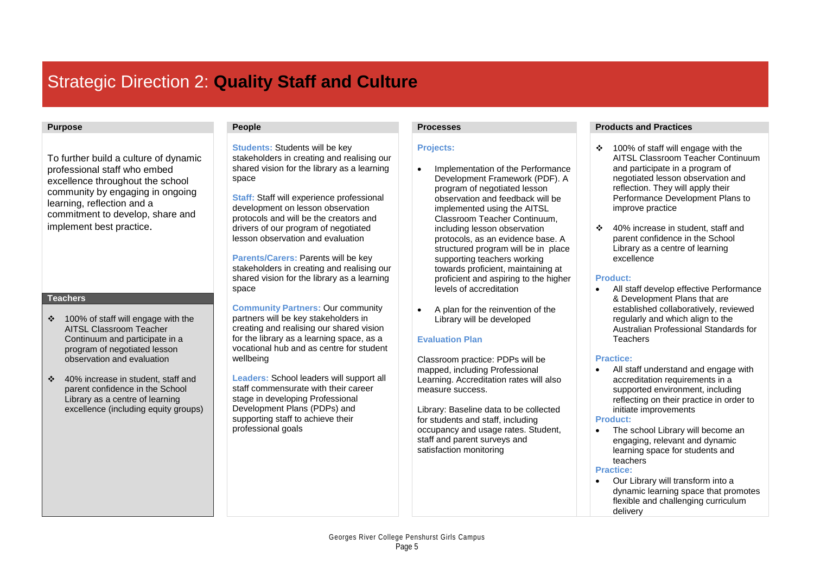## Strategic Direction 2: **Quality Staff and Culture**

To further build a culture of dynamic professional staff who embed excellence throughout the school community by engaging in ongoing learning, reflection and a commitment to develop, share and implement best practice.

### **Teachers**

- 100% of staff will engage with the AITSL Classroom Teacher Continuum and participate in a program of negotiated lesson observation and evaluation
- 40% increase in student, staff and parent confidence in the School Library as a centre of learning excellence (including equity groups)

**Students:** Students will be key stakeholders in creating and realising our shared vision for the library as a learning space

**Staff:** Staff will experience professional development on lesson observation protocols and will be the creators and drivers of our program of negotiated lesson observation and evaluation

**Parents/Carers:** Parents will be key stakeholders in creating and realising our shared vision for the library as a learning space

**Community Partners:** Our community partners will be key stakeholders in creating and realising our shared vision for the library as a learning space, as a vocational hub and as centre for student wellbeing

**Leaders:** School leaders will support all staff commensurate with their career stage in developing Professional Development Plans (PDPs) and supporting staff to achieve their professional goals

### **Projects:**

- Implementation of the Performance Development Framework (PDF). A program of negotiated lesson observation and feedback will be implemented using the AITSL Classroom Teacher Continuum, including lesson observation protocols, as an evidence base. A structured program will be in place supporting teachers working towards proficient, maintaining at proficient and aspiring to the higher levels of accreditation
- A plan for the reinvention of the Library will be developed

### **Evaluation Plan**

Classroom practice: PDPs will be mapped, including Professional Learning. Accreditation rates will also measure success.

Library: Baseline data to be collected for students and staff, including occupancy and usage rates. Student, staff and parent surveys and satisfaction monitoring

### **Purpose People Processes Products and Practices**

- 100% of staff will engage with the AITSL Classroom Teacher Continuum and participate in a program of negotiated lesson observation and reflection. They will apply their Performance Development Plans to improve practice
- 40% increase in student, staff and parent confidence in the School Library as a centre of learning excellence

### **Product:**

• All staff develop effective Performance & Development Plans that are established collaboratively, reviewed regularly and which align to the Australian Professional Standards for Teachers

### **Practice:**

• All staff understand and engage with accreditation requirements in a supported environment, including reflecting on their practice in order to initiate improvements

### **Product:**

The school Library will become an engaging, relevant and dynamic learning space for students and teachers

### **Practice:**

• Our Library will transform into a dynamic learning space that promotes flexible and challenging curriculum delivery